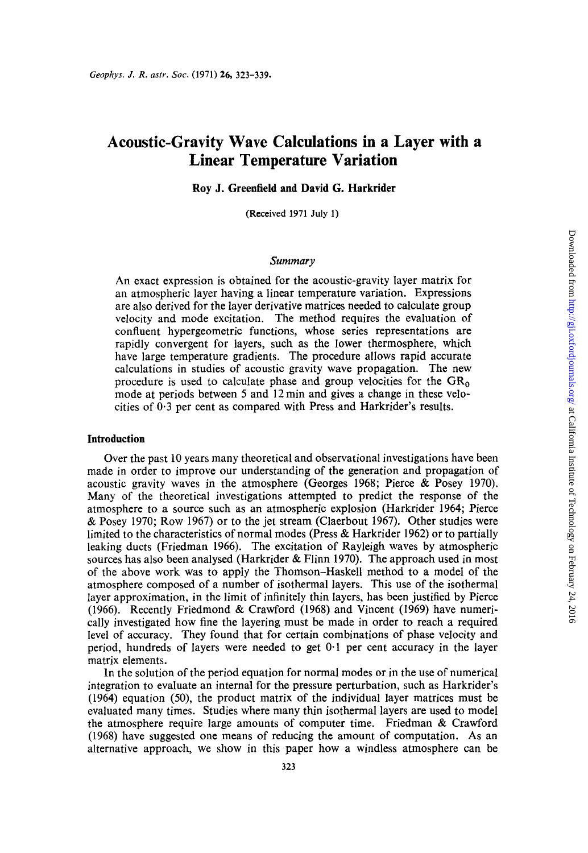# **Acoustic-Gravity Wave Calculations in a Layer with a Linear Temperature Variation**

### **Roy J. Greenfield and David G. Harkrider**

(Received 1971 July 1)

#### *Summary*

An exact expression is obtained for the acoustic-gravity layer matrix for an atmospheric layer having a linear temperature variation. Expressions are also derived for the layer derivative matrices needed to calculate group velocity and mode excitation. The method requires the evaluation of confluent hypergeometric functions, whose series representations are rapidly convergent for layers, such as the lower thermosphere, which have large temperature gradients. The procedure allows rapid accurate calculations in studies of acoustic gravity wave propagation. The new procedure is used to calculate phase and group velocities for the  $GR_0$ mode at periods between *5* and 12 min and gives a change in these velocities of **0.3** per cent as compared with Press and Harkrider's results.

## **Introduction**

Over the past 10 years many theoretical and observational investigations have been made in order to improve our understanding of the generation and propagation of acoustic gravity waves in the atmosphere (Georges 1968; Pierce & Posey 1970). Many of the theoretical investigations attempted to predict the response of the atmosphere to a source such as an atmospheric explosion (Harkrider 1964; Pierce & Posey 1970; Row 1967) or to the jet stream (Claerbout 1967). Other studies were limited to the characteristics of normal modes (Press & Harkrider 1962) or to partially leaking ducts (Friedman 1966). The excitation of Rayleigh waves by atmospheric sources has also been analysed (Harkrider & Flinn 1970). The approach used in most of the above work was to apply the Thomson-Haskell method to a model of the atmosphere composed of a number of isothermal layers. This use of the isothermal layer approximation, in the limit of infinitely thin layers, has been justified by Pierce (1966). Recently Friedmond & Crawford (1968) and Vincent (1969) have numerically investigated how fine the layering must be made in order to reach a required level of accuracy. They found that for certain combinations of phase velocity and period, hundreds **of** layers were needed to get 0.1 per cent accuracy in the layer matrix elements.

In the solution of the period equation for normal modes or in the use of numerical integration to evaluate an internal for the pressure perturbation, such as Harkrider's (1964) equation **(50),** the product matrix of the individual layer matrices must be evaluated many times. Studies where many thin isothermal layers are used to model the atmosphere require large amounts of computer time. Friedman & Crawford (1968) have suggested one means of reducing the amount of computation. **As** an alternative approach, we show in this paper how a windless atmosphere can be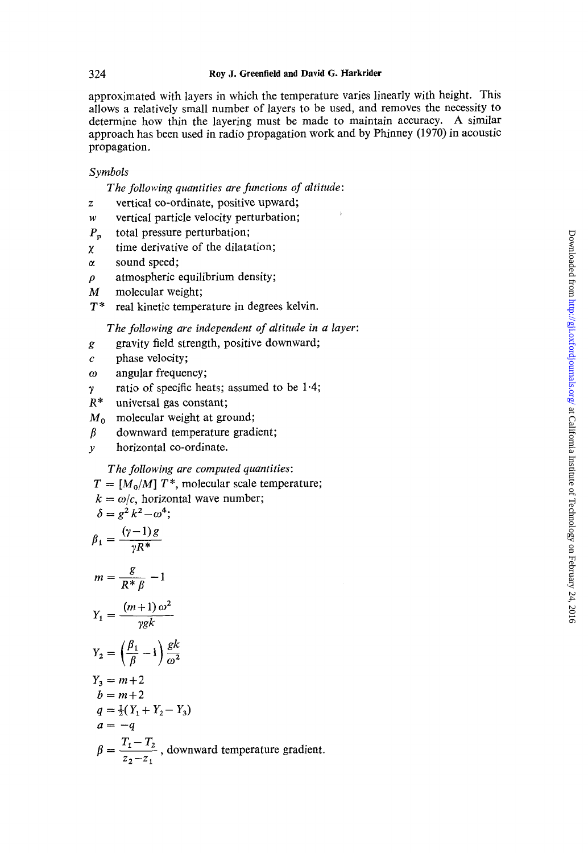approximated with layers in which the temperature varies linearly with height. This allows a relatively small number of layers to be used, and removes the necessity to determine how thin the layering must be made to maintain accuracy. **A** similar approach has been used in radio propagation work and by Phinney (1970) in acoustic propagation.

# *Symbols*

*The following quantities are functions of altitude:* 

- z vertical co-ordinate, positive upward;
- *w* vertical particle velocity perturbation;
- *P,* total pressure perturbation;
- *x* time derivative of the dilatation;
- *LX* sound speed;
- $\rho$  atmospheric equilibrium density;
- *M* molecular weight;
- *T* \* real kinetic temperature in degrees kelvin.

*The following are independent of altitude in a layer:* 

- gravity field strength, positive downward; *g*
- *c* phase velocity;
- *w* angular frequency;
- *y*  ratio of specific heats; assumed to be 1.4;
- universal gas constant;
- *Mo* molecular weight at ground;
- *p* downward temperature gradient;
- *y* horizontal co-ordinate.

*The following are computed quantities:* 

 $T = [M_0/M] T^*$ , molecular scale temperature;

 $k = \omega/c$ , horizontal wave number;

$$
\delta = g^2 k^2 - \omega^4;
$$

$$
\beta_1 = \frac{(\gamma - 1) g}{\gamma R^*}
$$

$$
m = \frac{6}{R^* \beta} - 1
$$

$$
v = (m+1) \omega^2
$$

$$
Y_1 = \frac{(m+1)\omega}{\gamma g k}
$$

$$
f(R) = \frac{1}{2}
$$

$$
= \left(\frac{\beta_1}{\beta} - 1\right) \frac{gk}{\omega^2}
$$

$$
\mathcal{L}(\mathbf{P})
$$

$$
Y_3=m+2
$$

 $Y_2$ 

$$
b=m+2
$$

$$
q = \frac{1}{2}(Y_1 + Y_2 - Y_3) a = -q
$$

$$
-q
$$

 $T_1 - T_2$  $z_2 - z_1$  $\beta = \frac{T_1 - T_2}{T_1 - T_2}$ , downward temperature gradient.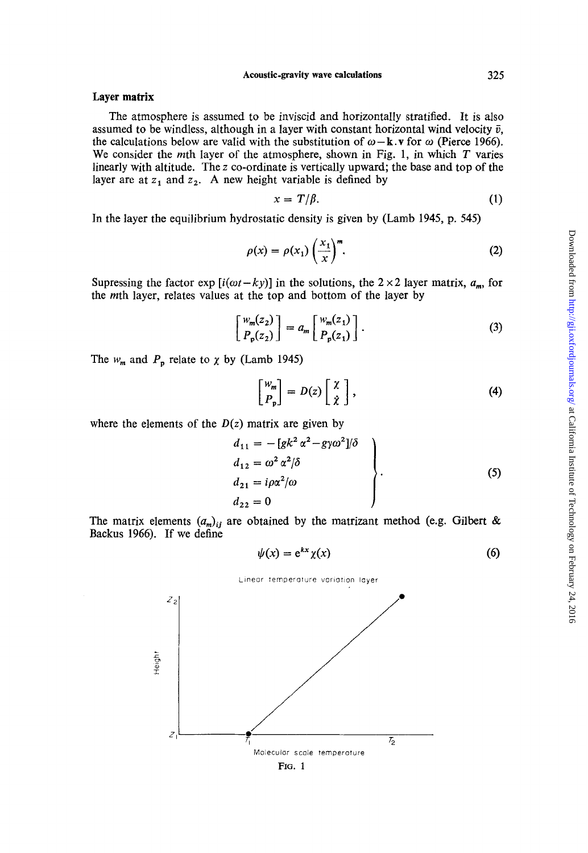### **Layer matrix**

The atmosphere is assumed to be inviscid and horizontally stratified. It is also assumed to be windless, although in a layer with constant horizontal wind velocity  $\bar{v}$ , the calculations below are valid with the substitution of  $\omega - \mathbf{k} \cdot \mathbf{v}$  for  $\omega$  (Pierce 1966). We consider the mth layer of the atmosphere, shown in Fig. **1,** in which T varies linearly with altitude. The **z** co-ordinate is vertically upward; the base and top of the layer are at  $z_1$  and  $z_2$ . A new height variable is defined by

$$
x = T/\beta. \tag{1}
$$

In the layer the equilibrium hydrostatic density is given by (Lamb **1945, p. 545)** 

$$
\rho(x) = \rho(x_1) \left(\frac{x_1}{x}\right)^m.
$$
 (2)

Supressing the factor exp  $[i(\omega t - ky)]$  in the solutions, the 2 × 2 layer matrix,  $a_m$ , for the mth layer, relates values at the top and bottom of the layer by

$$
\begin{bmatrix} w_m(z_2) \\ P_p(z_2) \end{bmatrix} = a_m \begin{bmatrix} w_m(z_1) \\ P_p(z_1) \end{bmatrix} . \tag{3}
$$

The  $w_m$  and  $P_p$  relate to  $\chi$  by (Lamb 1945)

$$
\begin{bmatrix} w_m \\ P_p \end{bmatrix} = D(z) \begin{bmatrix} \chi \\ \dot{\chi} \end{bmatrix}, \tag{4}
$$

where the elements of the  $D(z)$  matrix are given by

$$
d_{11} = -[gk^2 \alpha^2 - g\gamma\omega^2]/\delta
$$
  
\n
$$
d_{12} = \omega^2 \alpha^2/\delta
$$
  
\n
$$
d_{21} = i\rho\alpha^2/\omega
$$
  
\n
$$
d_{22} = 0
$$
\n(5)

The matrix elements  $(a_m)_{ij}$  are obtained by the matrizant method (e.g. Gilbert & Backus **1966). If** we define

$$
\psi(x) = e^{kx} \chi(x) \tag{6}
$$

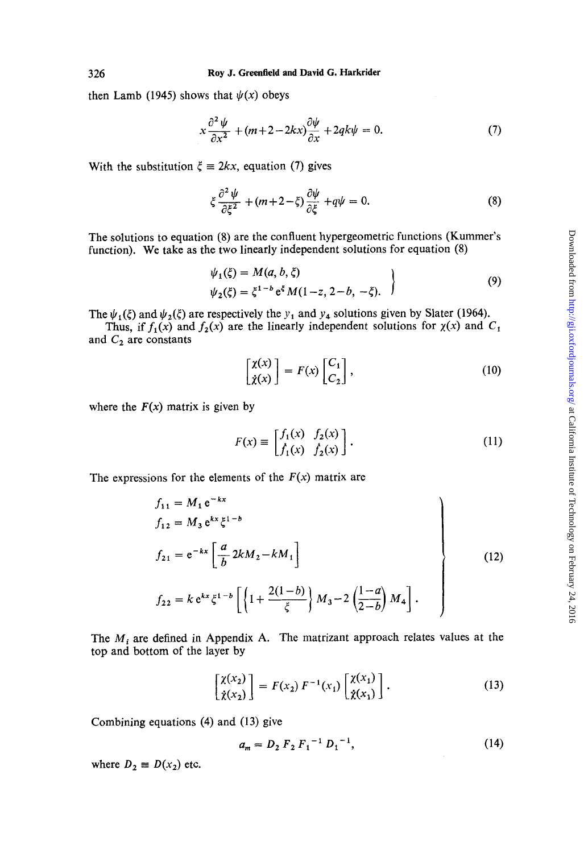then Lamb (1945) shows that  $\psi(x)$  obeys

$$
x\frac{\partial^2 \psi}{\partial x^2} + (m+2-2kx)\frac{\partial \psi}{\partial x} + 2qk\psi = 0.
$$
 (7)

With the substitution  $\xi = 2kx$ , equation (7) gives

$$
\xi \frac{\partial^2 \psi}{\partial \xi^2} + (m + 2 - \xi) \frac{\partial \psi}{\partial \xi} + q\psi = 0.
$$
 (8)

The solutions to equation **(8)** are the confluent hypergeometric functions (Kummer's function). We take as the two linearly independent solutions for equation (8)

$$
\psi_1(\xi) = M(a, b, \xi) \n\psi_2(\xi) = \xi^{1-b} e^{\xi} M(1-z, 2-b, -\xi).
$$
\n(9)

The  $\psi_1(\xi)$  and  $\psi_2(\xi)$  are respectively the  $y_1$  and  $y_4$  solutions given by Slater (1964).

and  $C_2$  are constants Thus, if  $f_1(x)$  and  $f_2(x)$  are the linearly independent solutions for  $\chi(x)$  and  $C_1$ 

$$
\begin{bmatrix} \chi(x) \\ \dot{\chi}(x) \end{bmatrix} = F(x) \begin{bmatrix} C_1 \\ C_2 \end{bmatrix},\tag{10}
$$

where the  $F(x)$  matrix is given by

$$
F(x) \equiv \begin{bmatrix} f_1(x) & f_2(x) \\ f_1(x) & f_2(x) \end{bmatrix}.
$$
 (11)

The expressions for the elements of the  $F(x)$  matrix are

$$
f_{11} = M_1 e^{-kx}
$$
  
\n
$$
f_{12} = M_3 e^{kx} \xi^{1-b}
$$
  
\n
$$
f_{21} = e^{-kx} \left[ \frac{a}{b} 2kM_2 - kM_1 \right]
$$
  
\n
$$
f_{22} = k e^{kx} \xi^{1-b} \left[ \left\{ 1 + \frac{2(1-b)}{\xi} \right\} M_3 - 2 \left( \frac{1-a}{2-b} \right) M_4 \right].
$$
\n(12)

The *Mi* are defined in Appendix **A.** The matrizant approach relates values at the top and bottom of the layer by

$$
\begin{bmatrix} \chi(x_2) \\ \dot{\chi}(x_2) \end{bmatrix} = F(x_2) F^{-1}(x_1) \begin{bmatrix} \chi(x_1) \\ \dot{\chi}(x_1) \end{bmatrix} . \tag{13}
$$

Combining equations (4) and **(13)** give

$$
a_m = D_2 F_2 F_1^{-1} D_1^{-1}, \qquad (14)
$$

where  $D_2 \equiv D(x_2)$  etc.

*326*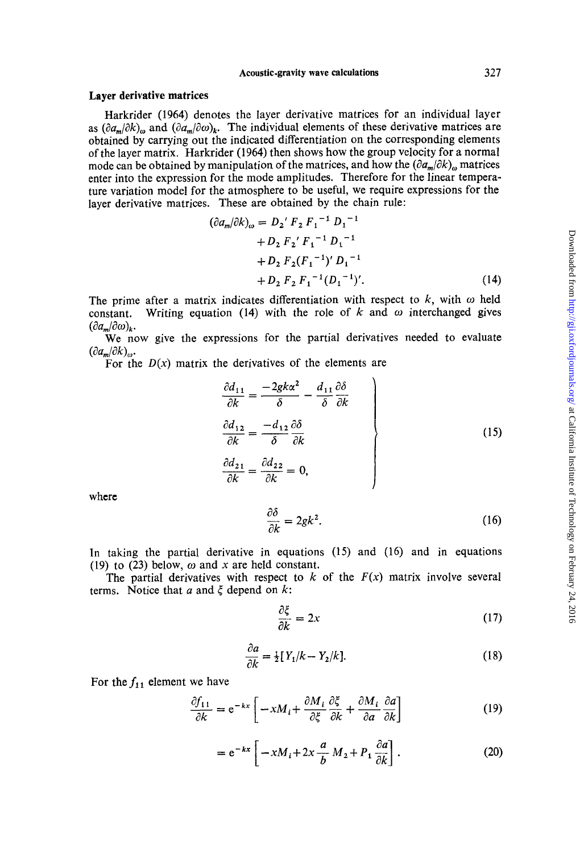## **Layer derivative matrices**

Harkrider **(1964)** denotes the layer derivative matrices for an individual layer as  $(\partial a_m/\partial k)_m$  and  $(\partial a_m/\partial \omega)_k$ . The individual elements of these derivative matrices are obtained by carrying out the indicated differentiation on the corresponding elements of the layer matrix. Harkrider **(1964)** then shows how the group velocity for a normal mode can be obtained by manipulation of the matrices, and how the  $(\partial a_m/\partial k)$ <sub>n</sub> matrices enter into the expression for the mode amplitudes. Therefore for the linear temperature variation model for the atmosphere to be useful, we require expressions for the layer derivative matrices. These are obtained by the chain rule:

$$
(\partial a_m/\partial k)_\omega = D_2' F_2 F_1^{-1} D_1^{-1}
$$
  
+ D\_2 F\_2' F\_1^{-1} D\_1^{-1}  
+ D\_2 F\_2 (F\_1^{-1})' D\_1^{-1}  
+ D\_2 F\_2 F\_1^{-1} (D\_1^{-1})'. (14)

The prime after a matrix indicates differentiation with respect to  $k$ , with  $\omega$  held constant. Writing equation (14) with the role of  $k$  and  $\omega$  interchanged gives  $(\partial a_m/\partial \omega)_k$ .

We now give the expressions for the partial derivatives needed to evaluate  $(\partial a_m/\partial k)_\omega$ .

For the  $D(x)$  matrix the derivatives of the elements are

$$
\begin{aligned}\n\frac{\partial d_{11}}{\partial k} &= \frac{-2gk\alpha^2}{\delta} - \frac{d_{11}}{\delta} \frac{\partial \delta}{\partial k} \\
\frac{\partial d_{12}}{\partial k} &= \frac{-d_{12}}{\delta} \frac{\partial \delta}{\partial k} \\
\frac{\partial d_{21}}{\partial k} &= \frac{\partial d_{22}}{\partial k} = 0,\n\end{aligned}
$$
\n(15)

where

$$
\frac{\partial \delta}{\partial k} = 2gk^2.
$$
 (16)

In taking the partial derivative in equations (15) and **(16)** and in equations **(19)** to *(23)* below, *w* and *x* are held constant.

The partial derivatives with respect to  $k$  of the  $F(x)$  matrix involve several terms. Notice that *a* and *5* depend on *k:* 

$$
k: \n\frac{\partial \xi}{\partial k} = 2x \tag{17}
$$

$$
\frac{\partial a}{\partial k} = \frac{1}{2} [Y_1/k - Y_2/k]. \tag{18}
$$

For the  $f_{11}$  element we have

$$
\frac{\partial f_{11}}{\partial k} = e^{-kx} \left[ -xM_i + \frac{\partial M_i}{\partial \xi} \frac{\partial \xi}{\partial k} + \frac{\partial M_i}{\partial a} \frac{\partial a}{\partial k} \right]
$$
(19)

$$
= e^{-kx} \left[ -xM_i + 2x \frac{a}{b} M_2 + P_1 \frac{\partial a}{\partial k} \right].
$$
 (20)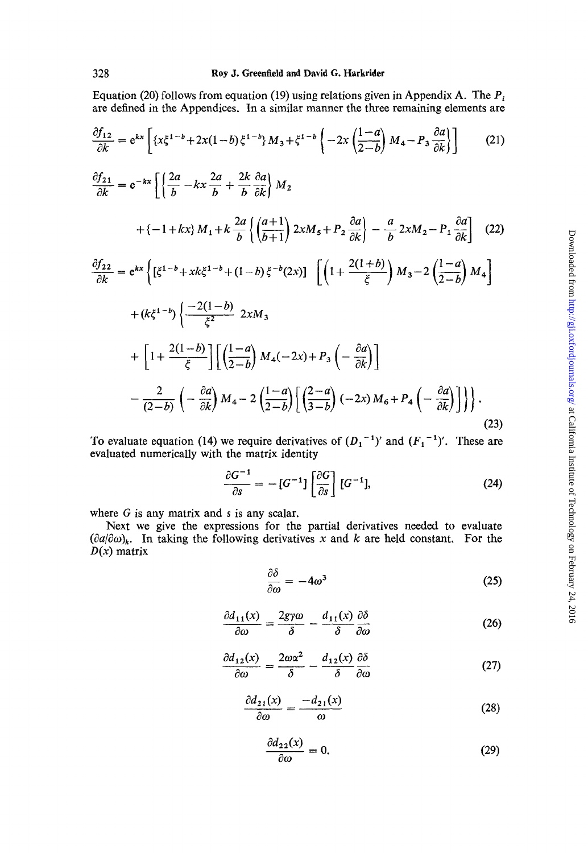Equation (20) follows from equation (19) using relations given in Appendix A. The *Pi*  are defined in the Appendices. In a similar manner the three remaining elements are

Equation (20) follows from equation (19) using relations given in Appendix A. The 
$$
P_i
$$
  
are defined in the Appendices. In a similar manner the three remaining elements are  

$$
\frac{\partial f_{12}}{\partial k} = e^{kx} \left[ \{x\zeta^{1-b} + 2x(1-b)\zeta^{1-b}\} M_3 + \zeta^{1-b} \left\{ -2x \left( \frac{1-a}{2-b} \right) M_4 - P_3 \frac{\partial a}{\partial k} \right\} \right]
$$
(21)  

$$
\frac{\partial f_{21}}{\partial k} = e^{-kx} \left[ \left\{ \frac{2a}{b} - kx \frac{2a}{b} + \frac{2k}{b} \frac{\partial a}{\partial k} \right\} M_2 + \{-1 + kx\} M_1 + k \frac{2a}{b} \left\{ \left( \frac{a+1}{b+1} \right) 2xM_5 + P_2 \frac{\partial a}{\partial k} \right\} - \frac{a}{b} 2xM_2 - P_1 \frac{\partial a}{\partial k} \right]
$$
(22)

$$
\frac{\partial f_{22}}{\partial k} = e^{kx} \left\{ \left[ \xi^{1-b} + xk \xi^{1-b} + (1-b) \xi^{-b} (2x) \right] \right. \left[ \left( 1 + \frac{2(1+b)}{\xi} \right) M_3 - 2 \left( \frac{1-a}{2-b} \right) M_4 \right] \right\}
$$

$$
+ (k\xi^{1-b}) \left\{ \frac{-2(1-b)}{\xi^2} \right. 2xM_3
$$

$$
+ \left[ 1 + \frac{2(1-b)}{\xi} \right] \left[ \left( \frac{1-a}{2-b} \right) M_4 (-2x) + P_3 \left( -\frac{\partial a}{\partial k} \right) \right]
$$

$$
- \frac{2}{(2-b)} \left( -\frac{\partial a}{\partial k} \right) M_4 - 2 \left( \frac{1-a}{2-b} \right) \left[ \left( \frac{2-a}{3-b} \right) (-2x) M_6 + P_4 \left( -\frac{\partial a}{\partial k} \right) \right] \right\}.
$$
(23)

To evaluate equation (14) we require derivatives of  $(D_1^{-1})'$  and  $(F_1^{-1})'$ . These are evaluated numerically with the matrix identity

(23)  
\nwe require derivatives of 
$$
(D_1^{-1})'
$$
 and  $(F_1^{-1})'$ . These are  
\nthe matrix identity  
\n
$$
\frac{\partial G^{-1}}{\partial s} = -[G^{-1}]\left[\frac{\partial G}{\partial s}\right][G^{-1}],
$$
\n(24)

where *G* is any matrix and **s** is any scalar.

Next we give the expressions for the partial derivatives needed to evaluate  $(\partial a/\partial \omega)_k$ . In taking the following derivatives x and k are held constant. For the *D(x)* matrix

$$
\frac{\partial \delta}{\partial \omega} = -4\omega^3 \tag{25}
$$

$$
\frac{\partial d_{11}(x)}{\partial \omega} = \frac{2gy\omega}{\delta} - \frac{d_{11}(x)}{\delta} \frac{\partial \delta}{\partial \omega} \tag{26}
$$

$$
\frac{\partial d_{12}(x)}{\partial \omega} = \frac{2\omega\alpha^2}{\delta} - \frac{d_{12}(x)}{\delta} \frac{\partial \delta}{\partial \omega} \tag{27}
$$

$$
\frac{\partial d_{21}(x)}{\partial \omega} = \frac{-d_{21}(x)}{\omega} \tag{28}
$$

$$
\frac{\partial d_{22}(x)}{\partial \omega} = 0. \tag{29}
$$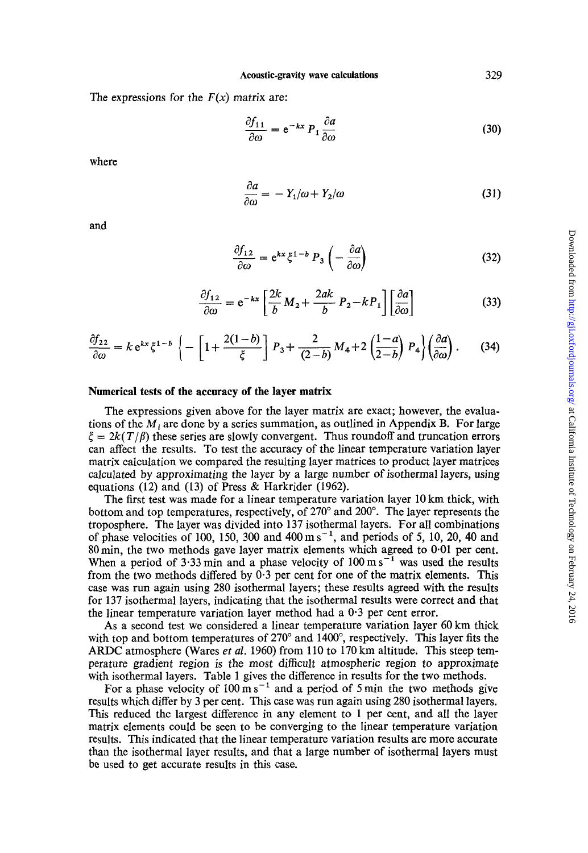**Acoustic-gravity wave calculations** 

The expressions for the  $F(x)$  matrix are:

$$
\frac{\partial f_{11}}{\partial \omega} = e^{-kx} P_1 \frac{\partial a}{\partial \omega} \tag{30}
$$

where

$$
\frac{\partial a}{\partial \omega} = -Y_1/\omega + Y_2/\omega \tag{31}
$$

and

$$
\frac{\partial f_{12}}{\partial \omega} = e^{kx} \xi^{1-b} P_3 \left( -\frac{\partial a}{\partial \omega} \right) \tag{32}
$$

$$
\frac{\partial f_{12}}{\partial \omega} = e^{-kx} \left[ \frac{2k}{b} M_2 + \frac{2ak}{b} P_2 - kP_1 \right] \left[ \frac{\partial a}{\partial \omega} \right]
$$
(33)

$$
\frac{\partial f_{22}}{\partial \omega} = k e^{kx} \xi^{1-b} \left\{ -\left[ 1 + \frac{2(1-b)}{\xi} \right] P_3 + \frac{2}{(2-b)} M_4 + 2 \left( \frac{1-a}{2-b} \right) P_4 \right\} \left( \frac{\partial a}{\partial \omega} \right). \tag{34}
$$

# **Numerical tests of the accuracy of the layer matrix**

The expressions given above for the layer matrix are exact; however, the evaluations of the *Mi* are done by a series summation, as outlined in Appendix B. For large  $\zeta = 2k(T/\beta)$  these series are slowly convergent. Thus roundoff and truncation errors can affect the results. To test the accuracy of the linear temperature variation layer matrix calculation we compared the resulting layer matrices to product layer matrices calculated by approximating the layer by a large number of isothermal layers, using equations (12) and (13) of Press & Harkrider (1962).

The first test was made for a linear temperature variation layer 10 km thick, with bottom and top temperatures, respectively, of 270" and 200". The layer represents the troposphere. The layer was divided into **137** isothermal layers. For all combinations of phase velocities of 100, 150, 300 and  $400 \text{ m s}^{-1}$ , and periods of 5, 10, 20, 40 and 80min, the two methods gave layer matrix elements which agreed to **0.01** per cent. When a period of  $3.33 \text{ min}$  and a phase velocity of  $100 \text{ m s}^{-1}$  was used the results from the two methods differed by 0.3 per cent for one of the matrix elements. This case was run again using 280 isothermal layers; these results agreed with the results for 137 isothermal layers, indicating that the isothermal results were correct and that the linear temperature variation layer method had a  $0.3$  per cent error.

**As** a second test we considered a linear temperature variation layer 60 km thick with top and bottom temperatures of 270" and **1400",** respectively. This layer fits the **ARDC** atmosphere (Wares *et al.* 1960) from 110 to 170 km altitude. This steep temperature gradient region is the most difficult atmospheric region to approximate with isothermal layers. Table **1** gives the difference in results for the two methods.

For a phase velocity of 100 m s<sup>-1</sup> and a period of 5 min the two methods give results which differ by **3** per cent. This case was run again using 280 isothermal layers. This reduced the largest difference in any element to **1** per cent, and all the layer matrix elements could be seen to be converging to the linear temperature variation results. This indicated that the linear temperature variation results are more accurate than the isothermal layer results, and that a large number of isothermal layers must be used to get accurate results in this case.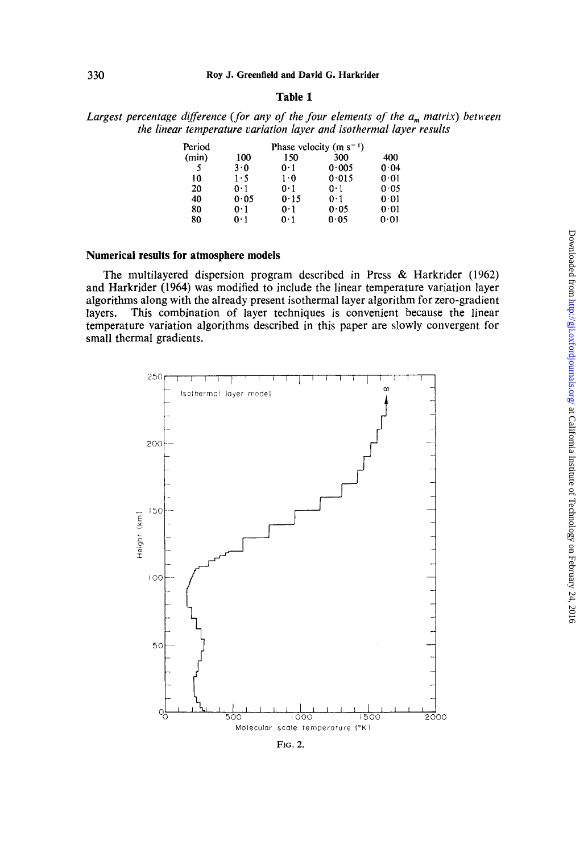# **Table 1**

# *Largest percentage difference (for any of the four elements of the a,,, matrix) between the linear temperature variation layer and isothermal layer results*

| Period |      |             | Phase velocity (m $s^{-1}$ ) |      |
|--------|------|-------------|------------------------------|------|
| (min)  | 100  | 150         | 300                          | 400  |
| 5      | 3.0  | 0·1         | 0.005                        | 0.04 |
| 10     | 1.5  | $1 \cdot 0$ | 0.015                        | 0.01 |
| 20     | 0.1  | 0·1         | 0·1                          | 0.05 |
| 40     | 0.05 | 0.15        | $0-1$                        | 0.01 |
| 80     | 0.1  | 0·1         | 0.05                         | 0.01 |
| 80     | 0·1  | 0·1         | 0.05                         | 0.01 |

# **Numerical results for atmosphere models**

The multilayered dispersion program described in Press & Harkrider (1962) and Harkrider (1964) was modified to include the linear temperature variation layer algorithms along with the already present isothermal layer algorithm for zero-gradient layers. This combination of layer techniques is convenient because the linear temperature variation algorithms described in this paper are slowly convergent for small thermal gradients.

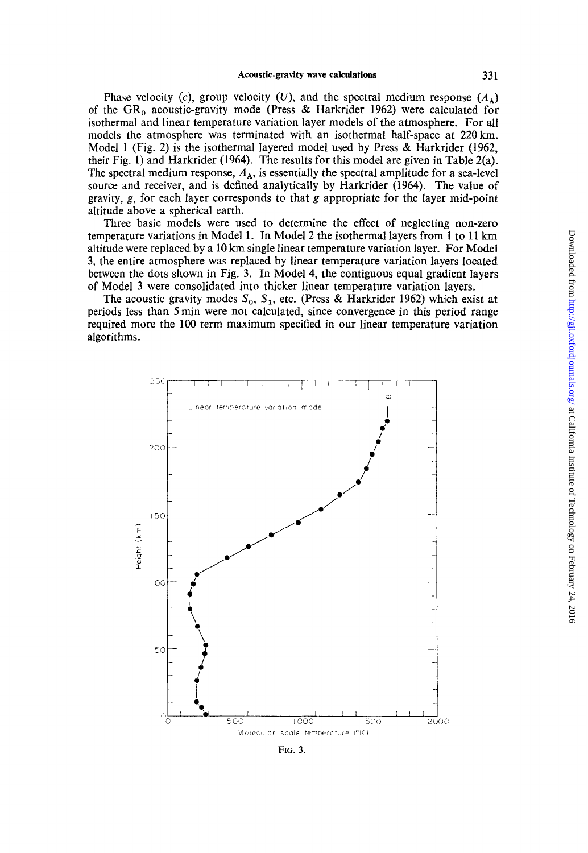Phase velocity (c), group velocity (U), and the spectral medium response  $(A_{\lambda})$ of the GR<sub>0</sub> acoustic-gravity mode (Press & Harkrider 1962) were calculated for isothermal and linear temperature variation layer models of the atmosphere. For all models the atmosphere was terminated with an isothermal half-space at 220 km. Model 1 (Fig. 2) is the isothermal layered model used by Press & Harkrider (1962, their Fig. 1) and Harkrider (1964). The results for this model are given in Table 2(a). The spectral medium response,  $A_A$ , is essentially the spectral amplitude for a sea-level source and receiver, and is defined analyticaily by Harkrider (1964). The value of gravity, g, for each layer corresponds to that g appropriate for the layer mid-point altitude above a spherical earth.

Three basic models were used to determine the effect **of** neglecting non-zero temperature variations in Model 1. In Model 2 the isothermal layers from 1 to 11 **km**  altitude were replaced by a 10 km single linear temperature variation layer. For Model **3,** the entire atmosphere was replaced by linear temperature variation layers located between the dots shown in Fig. 3. In Model 4, the contiguous equal gradient layers of Model **3** were consolidated into thicker linear temperature variation layers.

The acoustic gravity modes  $S_0$ ,  $S_1$ , etc. (Press & Harkrider 1962) which exist at periods less than *5* min were not calculated, since convergence in this period range required more the 100 term maximum specified in our linear temperature variation algorithms.

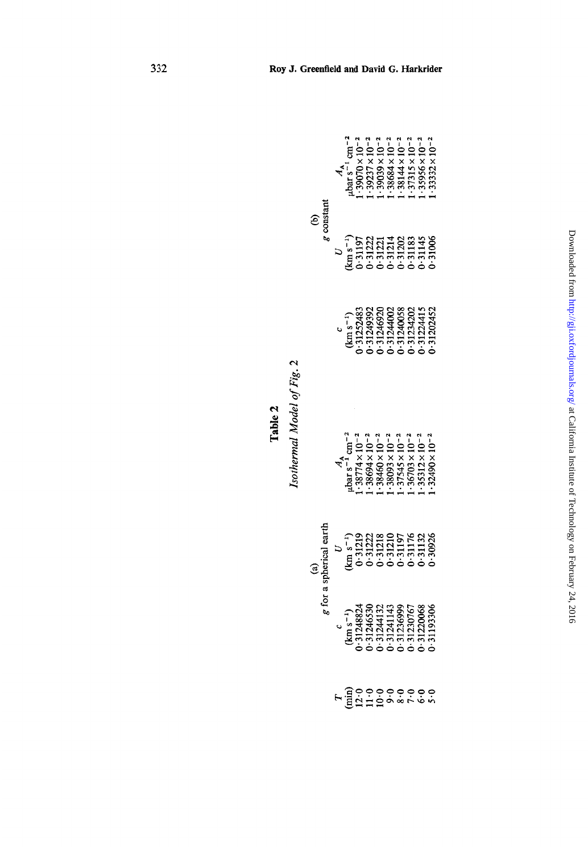|                                                                                                                                                                                                                                                                                                                                                                                                                                                                                         |                                                                                                                                                                                                                                                                                                                                                                                                                                          |  |  |  | $\begin{array}{l} A_{\rm A} \\ A_{\rm BH} \; {\rm s}^{-1} \; {\rm cm}^{-2} \\ \cdot \; 39070 \times 10^{-1} \\ \cdot \; 3927 \times 10^{-2} \\ \cdot \; 3933 \times 10^{-2} \\ \cdot \; 3688 \times 10^{-2} \\ \cdot \; 38144 \times 10^{-2} \\ \cdot \; 3115 \times 10^{-2} \\ \cdot \; 37315 \times 10^{-2} \\ \cdot \; 3.9395 \times 10^{-2} \\ \cdot \; 3.9395 \times 10^{-2} \\ \cdot \; 3.9392 \$ |  |
|-----------------------------------------------------------------------------------------------------------------------------------------------------------------------------------------------------------------------------------------------------------------------------------------------------------------------------------------------------------------------------------------------------------------------------------------------------------------------------------------|------------------------------------------------------------------------------------------------------------------------------------------------------------------------------------------------------------------------------------------------------------------------------------------------------------------------------------------------------------------------------------------------------------------------------------------|--|--|--|---------------------------------------------------------------------------------------------------------------------------------------------------------------------------------------------------------------------------------------------------------------------------------------------------------------------------------------------------------------------------------------------------------|--|
| $\begin{array}{c}\n(b) \\ g \text{ constant}\n\end{array}$                                                                                                                                                                                                                                                                                                                                                                                                                              | $\begin{array}{c} \nu \\ km s^{-1} \\ \nu 3197 \\ \nu 3197 \\ \nu 31222 \\ \nu 31221 \\ \nu 31214 \\ \nu 31214 \\ \nu 31214 \\ \nu 31214 \\ \nu 312145 \\ \nu 313145 \\ \nu 3145 \\ \nu 3145 \\ \nu 3145 \\ \nu 3145 \\ \nu 3145 \\ \nu 3146 \\ \nu 3148 \\ \nu 3145 \\ \nu 3145 \\ \nu 3146 \\ \nu 3147 \\ \nu 3148 \\ \nu 3148 \\ \nu 3149 \\ \nu$                                                                                     |  |  |  |                                                                                                                                                                                                                                                                                                                                                                                                         |  |
|                                                                                                                                                                                                                                                                                                                                                                                                                                                                                         |                                                                                                                                                                                                                                                                                                                                                                                                                                          |  |  |  | $\begin{array}{l} \textbf{(km s}^{-1)}\\ \textbf{(1125483)}\\ \textbf{1325483} \\ \textbf{13249392}\\ \textbf{13249302}\\ \textbf{131244002}\\ \textbf{13124003}\\ \textbf{1324003}\\ \textbf{1324202}\\ \textbf{1324415}\\ \textbf{1324202}\\ \textbf{132452}\\ \textbf{132452}\\ \textbf{132452}\\ \textbf{132452}\\ \textbf{132452}\\ \textbf{132452}\\ \textbf{13245$                               |  |
| $\begin{array}{r} \text{heiral} \text{ partial} \ \text{terial} \ \text{ter} \ \text{tr} \ \text{tr} \ \text{tr} \ \text{tr} \ \text{tr} \ \text{tr} \ \text{tr} \ \text{tr} \ \text{tr} \ \text{tr} \ \text{tr} \ \text{tr} \ \text{tr} \ \text{tr} \ \text{tr} \ \text{tr} \ \text{tr} \ \text{tr} \ \text{tr} \ \text{tr} \ \text{tr} \ \text{tr} \ \text{tr} \ \text{tr} \ \text{tr} \ \text{tr} \ \text{tr} \ \text{tr} \ \text{tr} \ \text{tr} \ \text{tr} \ \text$<br>g for a sp | $\begin{array}{l} A_{\Lambda}\\ \mu\textrm{bar s}^{-1}\,\textrm{cm}^{-2}\\ \cdot38774\times10^{-2}\\ \cdot38694\times10^{-2}\\ \cdot38694\times10^{-2}\\ \cdot3869\times10^{-2}\\ \cdot3869\times10^{-2}\\ \cdot37545\times10^{-2}\\ \cdot37545\times10^{-2}\\ \cdot37543\times10^{-2}\\ \cdot37312\times10^{-2}\\ \cdot3312\times10^{-2}\\ \cdot3312\times10^{-2}\\ \cdot3312\times10^{-2}\\ \cdot3312\times10^{-2}\\ \cdot\end{array}$ |  |  |  |                                                                                                                                                                                                                                                                                                                                                                                                         |  |
|                                                                                                                                                                                                                                                                                                                                                                                                                                                                                         |                                                                                                                                                                                                                                                                                                                                                                                                                                          |  |  |  |                                                                                                                                                                                                                                                                                                                                                                                                         |  |
|                                                                                                                                                                                                                                                                                                                                                                                                                                                                                         | $\begin{array}{l} (km\,s^{-1})\\ (km\,s^{-1})\\ (1248324\\ (131246530\\ (131246530\\ (131241143\\ (1313699\\ (1313699\\ (1313696\\ (13137067\\ (1313066\\ (13137066\\ (13137066\\ (13137066\\ (13137066\\ (13137066\\ (13137066\\ (13137066\\ (13137066\\ (13137066\\ (13137066\\ (131370$                                                                                                                                               |  |  |  |                                                                                                                                                                                                                                                                                                                                                                                                         |  |
|                                                                                                                                                                                                                                                                                                                                                                                                                                                                                         | $F = \frac{1}{2}$ $\frac{1}{2}$ $\frac{1}{2}$ $\frac{1}{2}$ $\frac{1}{2}$ $\frac{1}{2}$ $\frac{1}{2}$ $\frac{1}{2}$ $\frac{1}{2}$ $\frac{1}{2}$ $\frac{1}{2}$ $\frac{1}{2}$ $\frac{1}{2}$ $\frac{1}{2}$ $\frac{1}{2}$ $\frac{1}{2}$ $\frac{1}{2}$ $\frac{1}{2}$ $\frac{1}{2}$ $\frac{1}{2}$ $\frac{1}{2}$ $\frac{1}{2}$                                                                                                                  |  |  |  |                                                                                                                                                                                                                                                                                                                                                                                                         |  |

Isothermal Model of Fig. 2 *Isothermal Model of Fig.* 2

**Table 2** 

332

# and David G. Harkrider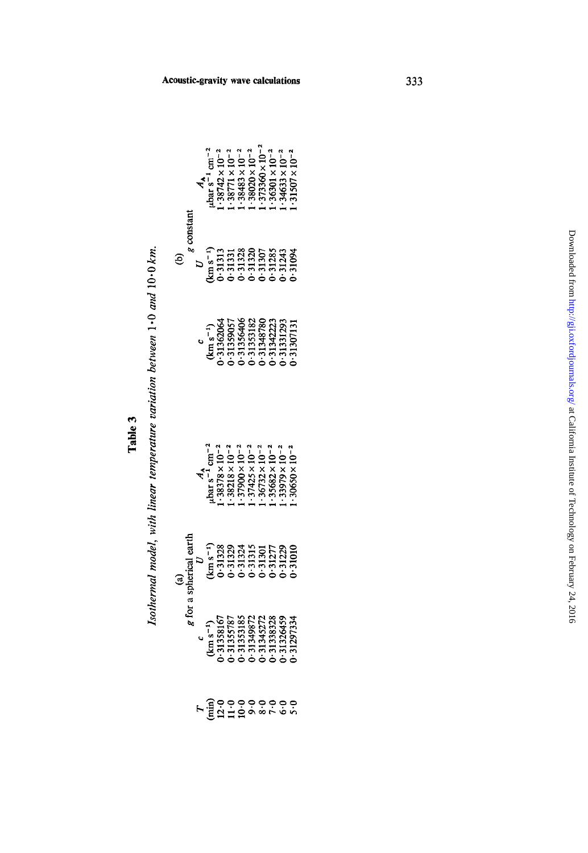| í<br>۴ |  |
|--------|--|
| υ<br>н |  |

*Isothermal model, with linear temperature variation between 1 -0 and* 10.0 *km.*  Isothermal model, with linear temperature variation between 1.0 and 10.0 km.

|             |                                                                                                                                                                                                                                                                                                                                                                                                               |  |  |  | $\begin{array}{l} \mathbf{A}_a \\ \mathtt{ubar s}^{-1} \\ \mathtt{cm}^{-2} \\ \mathtt{.38742} \times 10^{-2} \\ \mathtt{.38771} \times 10^{-2} \\ \mathtt{.38771} \times 10^{-2} \\ \mathtt{.38783} \times 10^{-2} \\ \mathtt{.38883} \times 10^{-2} \\ \mathtt{.38780} \times 10^{-2} \\ \mathtt{.373800} \times 10^{-2} \\ \mathtt{.373800} \times 10^{-2} \\ \mathtt{.373800} \times 10^{-2} \\$ |
|-------------|---------------------------------------------------------------------------------------------------------------------------------------------------------------------------------------------------------------------------------------------------------------------------------------------------------------------------------------------------------------------------------------------------------------|--|--|--|-----------------------------------------------------------------------------------------------------------------------------------------------------------------------------------------------------------------------------------------------------------------------------------------------------------------------------------------------------------------------------------------------------|
| $g$ constan | $\begin{array}{c} \nU\\ \nkm s^{-1}\\ \n1 \cdot 31313\\ \n1 \cdot 31331\\ \n0 \cdot 31328\\ \n0 \cdot 31320\\ \n0 \cdot 31307\\ \n0 \cdot 31307\\ \n0 \cdot 31307\\ \n0 \cdot 31328\\ \n0 \cdot 313243\\ \n0 \cdot 313243\\ \n0 \cdot 313243\\ \n0 \cdot 313243\\ \n0 \cdot 313243\\ \n0 \cdot 313243\\ \n0 \cdot 313243\\ \n0 \cdot 313243\\ \n$                                                             |  |  |  |                                                                                                                                                                                                                                                                                                                                                                                                     |
|             |                                                                                                                                                                                                                                                                                                                                                                                                               |  |  |  | $\begin{smallmatrix} (kn\ s^2)\\ (kn\ s^3)\\ (kn\ s^2)\\ (13162064\\ (13162057\\ (13159057\\ (13138182\\ (1313182223\\ (131312931\\ (13142223\\ (131312931\\ (131312931\\ (131312931\\ (131312931\\ (131312931\\ (131312931\\ (131312931\\ (131312931\\ (131312931\\ (131312931\\ (131312$                                                                                                          |
|             | $\begin{array}{l} A_{\text{A}} \\ \text{bar s}^{-1} \text{cm}^{-2} \\ \text{:}38378 \times 10^{-2} \\ \text{:}38218 \times 10^{-2} \\ \text{:}39218 \times 10^{-2} \\ \text{:}37900 \times 10^{-2} \\ \text{:}3792 \times 10^{-2} \\ \text{:}3682 \times 10^{-2} \\ \text{:}35682 \times 10^{-2} \\ \text{:}3979 \times 10^{-2} \\ \text{:}3979 \times 10^{-2} \\ \text{:}3999 \times 10^{-2} \\ \end{array}$ |  |  |  |                                                                                                                                                                                                                                                                                                                                                                                                     |
|             |                                                                                                                                                                                                                                                                                                                                                                                                               |  |  |  |                                                                                                                                                                                                                                                                                                                                                                                                     |
| g for a sp  | $\begin{smallmatrix} 6 & 1 \\ \text{km}\,8^-1) \\ 1.31358167 \\ 1.3135787 \\ 1.3135787 \\ 1.3135787 \\ 1.31343772 \\ 1.3143772 \\ 1.3136328 \\ 1.313639 \\ 1.3136459 \\ \end{smallmatrix}$                                                                                                                                                                                                                    |  |  |  |                                                                                                                                                                                                                                                                                                                                                                                                     |
|             |                                                                                                                                                                                                                                                                                                                                                                                                               |  |  |  |                                                                                                                                                                                                                                                                                                                                                                                                     |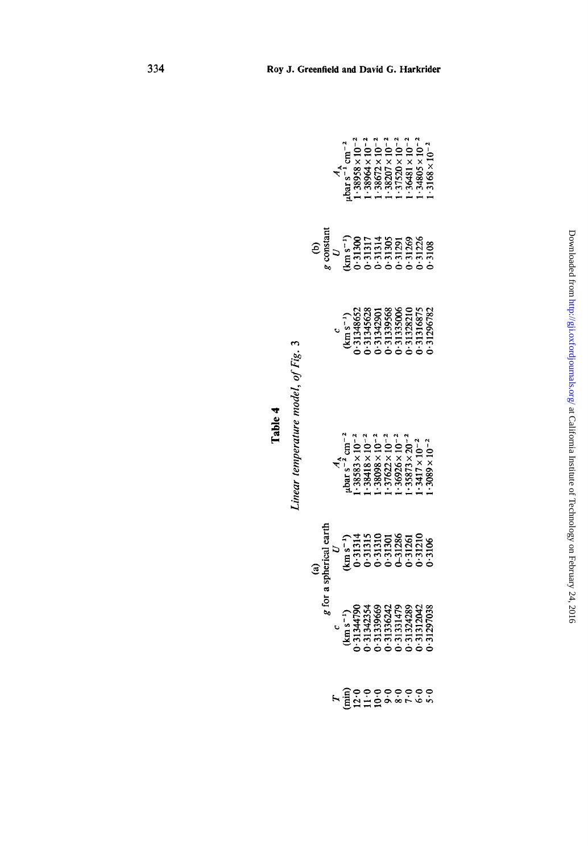|                                                                                                                                                                                                                                                                                                                                                        |                                                                                                                                                                                                                                                     | $\begin{array}{l} A_{\text{A}} \\ \text{bar s}^{-1} \text{ cm}^{-2} \\ 1 \cdot 39958 \times 10^{-2} \\ 1 \cdot 39964 \times 10^{-1} \\ 1 \cdot 38672 \times 10^{-2} \\ 1 \cdot 36672 \times 10^{-2} \\ 1 \cdot 37500 \times 10^{-2} \\ 1 \cdot 37481 \times 10^{-2} \\ 1 \cdot 36481 \times 10^{-2} \\ 1 \cdot 34805 \times 10^{-2} \\ 1 \cdot 34805 \times 10^{-2} \\ \end{array}$ |  |  |  |  |
|--------------------------------------------------------------------------------------------------------------------------------------------------------------------------------------------------------------------------------------------------------------------------------------------------------------------------------------------------------|-----------------------------------------------------------------------------------------------------------------------------------------------------------------------------------------------------------------------------------------------------|-------------------------------------------------------------------------------------------------------------------------------------------------------------------------------------------------------------------------------------------------------------------------------------------------------------------------------------------------------------------------------------|--|--|--|--|
| (b)<br>$\frac{1}{2}$<br>$\frac{1}{2}$<br>$\frac{1}{2}$<br>$\frac{1}{2}$<br>$\frac{1}{2}$<br>$\frac{1}{2}$<br>$\frac{1}{2}$<br>$\frac{1}{2}$<br>$\frac{1}{2}$<br>$\frac{1}{2}$<br>$\frac{1}{2}$<br>$\frac{1}{2}$<br>$\frac{1}{2}$<br>$\frac{1}{2}$<br>$\frac{1}{2}$<br>$\frac{1}{2}$<br>$\frac{1}{2}$<br>$\frac{1}{2}$<br>$\frac{1}{2}$<br>$\frac{1}{2$ |                                                                                                                                                                                                                                                     |                                                                                                                                                                                                                                                                                                                                                                                     |  |  |  |  |
|                                                                                                                                                                                                                                                                                                                                                        |                                                                                                                                                                                                                                                     | $(\mathrm{km s}^{-1})$<br>$(\mathrm{km s}^{-1})$<br>$(\mathrm{m s}^{-1})$<br>$(\mathrm{1348652})$<br>$(\mathrm{1345628})$<br>$(\mathrm{1345628})$<br>$(\mathrm{1345628})$<br>$(\mathrm{1345675})$<br>$(\mathrm{1316875})$<br>$(\mathrm{1316875})$<br>$(\mathrm{1316875})$                                                                                                           |  |  |  |  |
| (a)<br>spherical eart<br>$U$<br>spherical eart<br>$(U$<br>$(U)$<br>$(U)$<br>$(U)$<br>$(U)$<br>$(U)$<br>$(U)$<br>$(U)$<br>$(U)$<br>$(U)$<br>$(U)$<br>$(U)$<br>$(U)$<br>$(U)$<br>$(U)$<br>$(U)$<br>$(U)$<br>$(U)$<br>$(U)$<br>$(U)$<br>$(U)$<br>$(U)$<br>$(U)$<br>$(U)$<br>$(U)$<br>$(U)$<br>$(U)$<br>$(U)$<br>$(U)$<br>$(U)$<br><br>g for               | $\begin{array}{l} A_{\Lambda} \\ \text{4.13}\text{cm}^{-2}\\ +3883\times10^{-2}\\ +38418\times10^{-2}\\ +38418\times10^{-2}\\ +38418\times10^{-2}\\ +3692\times10^{-2}\\ +3692\times10^{-2}\\ +3873\times20^{-2}\\ +317\times10^{-2}\\ \end{array}$ |                                                                                                                                                                                                                                                                                                                                                                                     |  |  |  |  |
|                                                                                                                                                                                                                                                                                                                                                        |                                                                                                                                                                                                                                                     |                                                                                                                                                                                                                                                                                                                                                                                     |  |  |  |  |
|                                                                                                                                                                                                                                                                                                                                                        | $\begin{smallmatrix}&&c\\(km\,s^{-1})\\(km\,s^{-1})\\(1344790\\-31342354\\-31342354\\-3134235\\-31334242\\-3131479\\-3131479\\-31312042\\-31312042\\-31312042\end{smallmatrix}$                                                                     |                                                                                                                                                                                                                                                                                                                                                                                     |  |  |  |  |
|                                                                                                                                                                                                                                                                                                                                                        |                                                                                                                                                                                                                                                     | $F = 12000000000$                                                                                                                                                                                                                                                                                                                                                                   |  |  |  |  |

**Table 4** 

Linear temperature model, of Fig. 3 *Linear temperature model, of Fig. 3*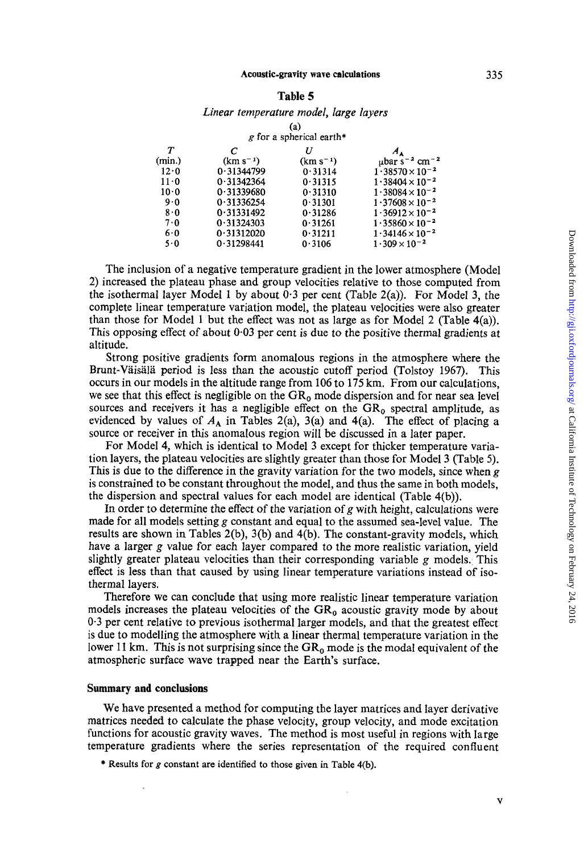335

#### **Acoustic-gravity wave calculations**

#### **Table** *5*

#### *Linear temperature model, large layers*

|        |               | (a)<br>g for a spherical earth* |                                            |
|--------|---------------|---------------------------------|--------------------------------------------|
| Т      | C             | U                               |                                            |
| (min.) | $(km s^{-1})$ | $(km s^{-1})$                   | $\mu$ bar s <sup>-2</sup> cm <sup>-2</sup> |
| 12.0   | 0.31344799    | 0.31314                         | $1.38570 \times 10^{-2}$                   |
| 11.0   | 0.31342364    | 0.31315                         | $1.38404 \times 10^{-2}$                   |
| 10.0   | 0.31339680    | 0.31310                         | $1.38084 \times 10^{-2}$                   |
| 9.0    | 0.31336254    | 0.31301                         | $1.37608 \times 10^{-2}$                   |
| 8.0    | 0.31331492    | 0.31286                         | $1.36912 \times 10^{-2}$                   |
| 7.0    | 0.31324303    | 0.31261                         | $1.35860 \times 10^{-2}$                   |
| 6.0    | 0.31312020    | 0.31211                         | $1.34146 \times 10^{-2}$                   |
| 5.0    | 0.31298441    | 0.3106                          | $1.309 \times 10^{-2}$                     |

The inclusion of a negative temperature gradient in the lower atmosphere (Model 2) increased the plateau phase and group velocities relative to those computed from the isothermal layer Model 1 by about 0.3 per cent (Table 2(a)). For Model **3,** the complete linear temperature variation model, the plateau velocities were also greater than those for Model **1** but the effect was not as large as for Model 2 (Table 4(a)). This opposing effect of about 0-03 per cent is due to the positive thermal gradients at altitude.

Strong positive gradients form anomalous regions in the atmosphere where the Brunt-Vaisala period is less than the acoustic cutoff period (Tolstoy 1967). This occurs in our models in the altitude range from 106 to 175 km. From our calculations, we see that this effect is negligible on the  $GR_0$  mode dispersion and for near sea level sources and receivers it has a negligible effect on the  $GR_0$  spectral amplitude, as evidenced by values of  $A_A$  in Tables 2(a), 3(a) and 4(a). The effect of placing a source or receiver in this anomalous region will be discussed in a later paper.

For Model **4,** which is identical to Model 3 except for thicker temperature variation layers, the plateau velocities are slightly greater than those for Model 3 (Table 5). This is due to the difference in the gravity variation for the two models, since when *g*  is constrained to be constant throughout the model, and thus the same in both models, the dispersion and spectral values for each model are identical (Table 4(b)).

In order to determine the effect of the variation of *g* with height, calculations were made for all models setting *g* constant and equal to the assumed sea-level value. The results are shown in Tables 2(b), 3(b) and 4(b). The constant-gravity models, which have a larger *g* value for each layer compared to the more realistic variation, yield slightly greater plateau velocities than their corresponding variable *g* models. This effect is less than that caused by using linear temperature variations instead of isothermal layers.

Therefore we can conclude that using more realistic linear temperature variation models increases the plateau velocities of the **GR,** acoustic gravity mode by about 0.3 per cent relative to previous isothermal larger models, and that the greatest effect is due to modelling the atmosphere with a linear thermal temperature variation in the lower 11 km. This is not surprising since the  $GR_0$  mode is the modal equivalent of the atmospheric surface wave trapped near the Earth's surface.

# **Summary and conclusions**

We have presented a method for computing the layer matrices and layer derivative matrices needed to calculate the phase velocity, group velocity, and mode excitation functions for acoustic gravity waves. The method is most useful in regions with large temperature gradients where the series representation of the required confluent

\* Results for *g* constant are identified to those given in Table 4(b).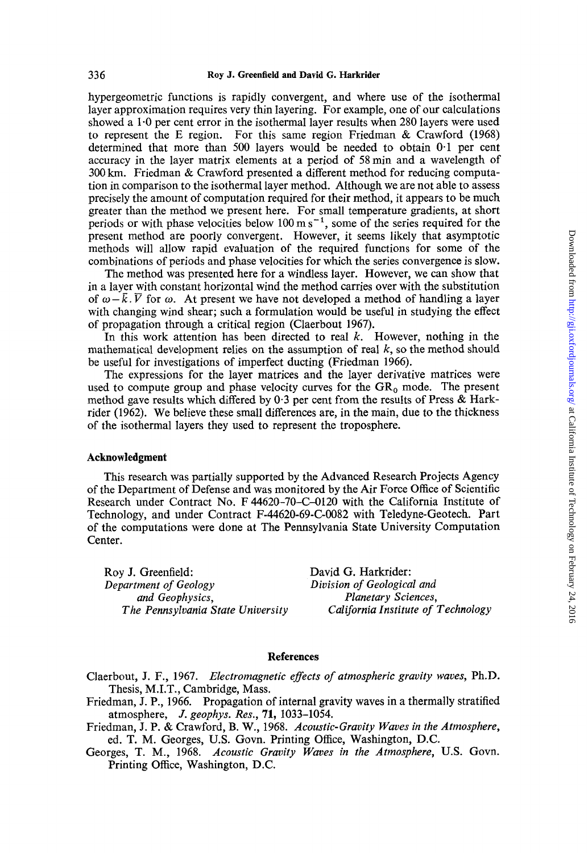hypergeometric functions is rapidly convergent, and where use of the isothermal layer approximation requires very thin layering. For example, one of our calculations showed a  $1.0$  per cent error in the isothermal layer results when 280 layers were used to represent the E region. For this same region Friedman & Crawford (1968) determined that more than 500 layers would be needed to obtain 0-1 per cent accuracy in the layer matrix elements at a period of 58min and a wavelength of 300 km. Friedman & Crawford presented a different method for reducing computation in comparison to the isothermal layer method. Although we are not able to assess precisely the amount of computation required for their method, it appears to be much greater than the method we present here. For small temperature gradients, at short periods or with phase velocities below  $100 \text{ m s}^{-1}$ , some of the series required for the present method are poorly convergent. However, it seems likely that asymptotic methods will allow rapid evaluation of the required functions for some of the combinations of periods and phase velocities for which the series convergence is slow.

The method was presented here for a windless layer. However, we can show that in a layer with constant horizontal wind the method carries over with the substitution of  $\omega - \bar{k}$ .  $\bar{V}$  for  $\omega$ . At present we have not developed a method of handling a layer with changing wind shear; such a formulation would be useful in studying the effect of propagation through a critical region (Claerbout 1967).

In this work attention has been directed to real *k.* However, nothing in the mathematical development relies on the assumption **of** real *k,* so the method should be useful for investigations of imperfect ducting (Friedman 1966).

The expressions for the layer matrices and the layer derivative matrices were used to compute group and phase velocity curves for the  $GR_0$  mode. The present method gave results which differed by **0-3** per cent from the results of Press & Harkrider (1962). We believe these small differences are, in the main, due to the thickness of the isothermal layers they used to represent the troposphere.

#### **Acknowledgment**

This research was partially supported by the Advanced Research Projects Agency of the Department of Defense and was monitored by the Air Force Office of Scientific Research under Contract No. F 44620-70-C-0120 with the California Institute of Technology, and under Contract F-44620-69-C-0082 with Teledyne-Geotech. Part of the computations were done at The Pennsylvania State University Computation Center.

Roy J. Greenfield: *Department* of *Geology and Geophysics, Planetary Sciences,* 

David G. Harkrider: *Division* of *Geological and The Pennsylvania State University California Institute of Technology* 

## **References**

- Claerbout, **J.** F., 1967. *Electromagnetic effects* of *atmospheric gravity waves,* Ph.D. Thesis, M.I.T., Cambridge, Mass.
- Friedman, **J.** P., 1966. Propagation of internal gravity waves in a thermally stratified atmosphere, *J. geophys. Res.,* **71,** 1033-1054.
- Friedman, J. P. & Crawford, B. W., 1968. *Acoustic-Gravity Waves in the Atmosphere,*  ed. T. M. Georges, **U.S.** Govn. Printing Office, Washington, D.C.
- Georges, T. M., 1968. *Acoustic Gravity Waves in the Atmosphere,* U.S. Govn. Printing Office, Washington, D.C.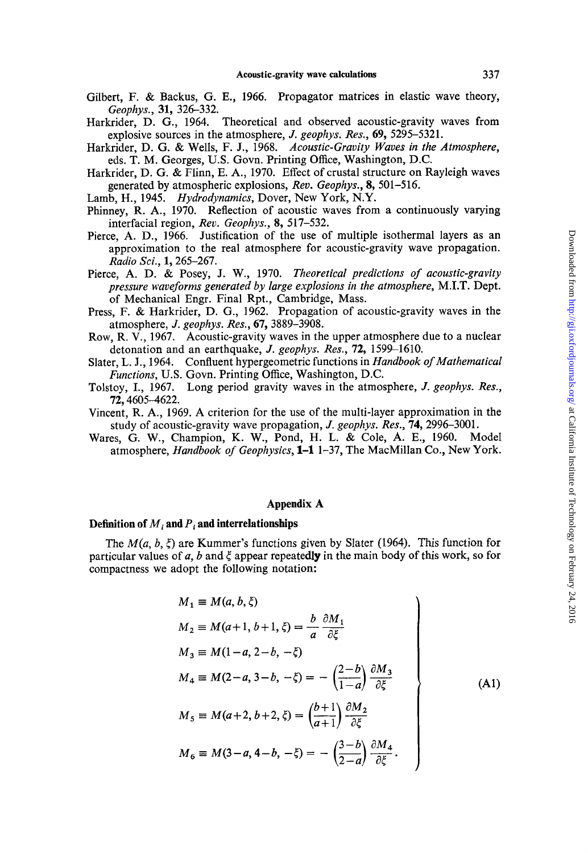- Gilbert, F. & Backus, G. E., 1966. Propagator matrices in elastic wave theory, *Geophys.,* 31, 326-332.
- Harkrider, D. G., 1964. Theoretical and observed acoustic-gravity waves from explosive sources in the atmosphere, *J. geophys. Res.,* 69, 5295-5321.
- Harkrider, D. G. & Wells, F. J., 1968. *Acoustic-Gravity Waves* in *the Atmosphere,*  eds. T. M. Georges, **U.S.** Govn. Printing Office, Washington, D.C.
- Harkrider, D. *G.* & Flinn, E. **A.,** 1970. Effect of crustal structure on Rayleigh waves generated by atmospheric explosions, *Rev. Geophys.,* 8,501-516.
- Lamb, H., 1945. *Hydrodynamics,* Dover, New York, N.Y.
- Phinney, R. A., 1970. Reflection of acoustic waves from a continuously varying interfacial region, *Rev. Geophys.,* 8, 517-532.
- Pierce, A. D., 1966. Justification of the use of multiple isothermal layers as an approximation to the real atmosphere for acoustic-gravity wave propagation. *Radio Sci.,* 1,265-267.
- *Theoretical predictions of acoustic-gravity*  Pierce, **A.** D. & Posey, J. W., 1970. *pressure waveforms generated by large explosions in the atmosphere,* M.I.T. Dept. of Mechanical Engr. Final Rpt., Cambridge, Mass.
- Press, F. & Harkrider, D. G., 1962. Propagation of acoustic-gravity waves in the atmosphere, *J. geophys. Res.,* 67,3889-3908.
- Row, R. V., 1967. Acoustic-gravity waves in the upper atmosphere due to a nuclear detonation and an earthquake, *J. geophys. Res.,* 12, 1599-1610.
- Slater, L. J., 1964. Confluent hypergeometric functions in *Handbook of Mathematicul Functions,* **U.S.** Govn. Printing Office, Washington, D.C.
- Tolstoy, I., 1967. Long period gravity waves in the atmosphere, *J. geophys. Res.,*  12,4605-4622.
- Vincent, R. **A.,** 1969. A criterion for the use of the multi-layer approximation in the study of acoustic-gravity wave propagation, J. *geophys. Res.,* 74,2996-3001.
- Wares, G. W., Champion, K. W., Pond, H. L. & Cole, A. E., 1960. atmosphere, *Handbook of Geophysics,* **1-1** 1-37, The MacMillan Co., New York.

# **Appendix A**

#### **Definition of**  $M_i$  **and**  $P_i$  **and interrelationships**

The  $M(a, b, \xi)$  are Kummer's functions given by Slater (1964). This function for particular values of  $a$ ,  $b$  and  $\xi$  appear repeatedly in the main body of this work, so for compactness we adopt the following notation:

$$
M_1 \equiv M(a, b, \xi)
$$
  
\n
$$
M_2 \equiv M(a+1, b+1, \xi) = \frac{b}{a} \frac{\partial M_1}{\partial \xi}
$$
  
\n
$$
M_3 \equiv M(1-a, 2-b, -\xi)
$$
  
\n
$$
M_4 \equiv M(2-a, 3-b, -\xi) = -\left(\frac{2-b}{1-a}\right) \frac{\partial M_3}{\partial \xi}
$$
  
\n
$$
M_5 \equiv M(a+2, b+2, \xi) = \left(\frac{b+1}{a+1}\right) \frac{\partial M_2}{\partial \xi}
$$
  
\n
$$
M_6 \equiv M(3-a, 4-b, -\xi) = -\left(\frac{3-b}{2-a}\right) \frac{\partial M_4}{\partial \xi}.
$$
 (A1)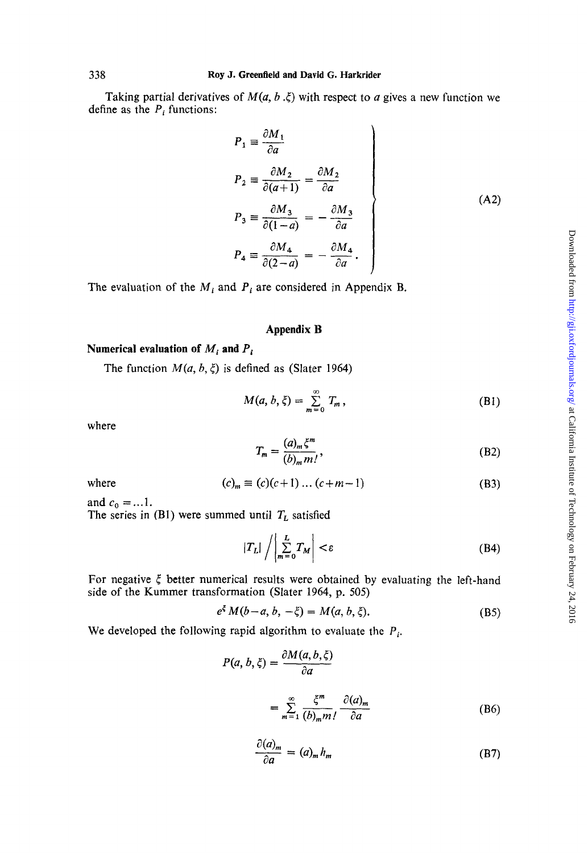Taking partial derivatives of  $M(a, b, \xi)$  with respect to *a* gives a new function we define as the  $P_i$  functions:

$$
P_1 \equiv \frac{\partial M_1}{\partial a}
$$
  
\n
$$
P_2 \equiv \frac{\partial M_2}{\partial (a+1)} = \frac{\partial M_2}{\partial a}
$$
  
\n
$$
P_3 \equiv \frac{\partial M_3}{\partial (1-a)} = -\frac{\partial M_3}{\partial a}
$$
  
\n
$$
P_4 \equiv \frac{\partial M_4}{\partial (2-a)} = -\frac{\partial M_4}{\partial a}.
$$
\n(A2)

 $\lambda$ 

The evaluation of the  $M_i$  and  $P_i$  are considered in Appendix B.

# **Appendix B**

# Numerical evaluation of  $M_i$  and  $P_i$

The function 
$$
M(a, b, \xi)
$$
 is defined as (Slater 1964)  
\n
$$
M(a, b, \xi) = \sum_{m=0}^{\infty} T_m,
$$
\n(81)  
\nhere  
\n
$$
T_m = \frac{(a)_m \xi^m}{(b)_m m!},
$$
\n(82)

where

$$
T_m = \frac{(a)_m \xi^m}{(b)_m m!},\tag{B2}
$$

where

$$
(c)m \equiv (c)(c+1)...(c+m-1)
$$
 (B3)

and  $c_0 = ... 1$ .

The series in (B1) were summed until  $T_L$  satisfied

$$
|T_L| / \left| \sum_{m=0}^{L} T_M \right| < \varepsilon \tag{B4}
$$

For negative **5** better numerical results were obtained by evaluating the left-hand side of the Kummer transformation (Slater 1964, p. 505)

$$
e^{\xi} M(b-a, b, -\xi) = M(a, b, \xi).
$$
 (B5)

We developed the following rapid algorithm to evaluate the *Pi.* 

$$
P(a, b, \xi) = \frac{\partial M(a, b, \xi)}{\partial a}
$$
  
= 
$$
\sum_{m=1}^{\infty} \frac{\xi^m}{(b)_m m!} \frac{\partial (a)_m}{\partial a}
$$
 (B6)

$$
\frac{\partial (a)_m}{\partial a} = (a)_m h_m \tag{B7}
$$